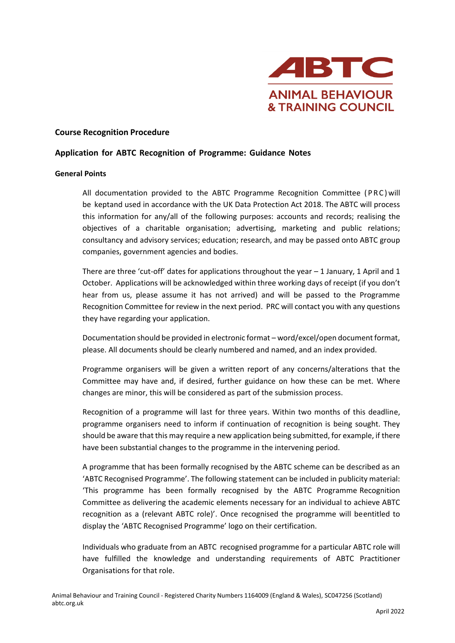

#### **Course Recognition Procedure**

### **Application for ABTC Recognition of Programme: Guidance Notes**

#### **General Points**

All documentation provided to the ABTC Programme Recognition Committee (PRC) will be keptand used in accordance with the UK Data Protection Act 2018. The ABTC will process this information for any/all of the following purposes: accounts and records; realising the objectives of a charitable organisation; advertising, marketing and public relations; consultancy and advisory services; education; research, and may be passed onto ABTC group companies, government agencies and bodies.

There are three 'cut-off' dates for applications throughout the year  $-1$  January, 1 April and 1 October. Applications will be acknowledged within three working days of receipt (if you don't hear from us, please assume it has not arrived) and will be passed to the Programme Recognition Committee for review in the next period. PRC will contact you with any questions they have regarding your application.

Documentation should be provided in electronic format – word/excel/open document format, please. All documents should be clearly numbered and named, and an index provided.

Programme organisers will be given a written report of any concerns/alterations that the Committee may have and, if desired, further guidance on how these can be met. Where changes are minor, this will be considered as part of the submission process.

Recognition of a programme will last for three years. Within two months of this deadline, programme organisers need to inform if continuation of recognition is being sought. They should be aware that this may require a new application being submitted, for example, if there have been substantial changes to the programme in the intervening period.

A programme that has been formally recognised by the ABTC scheme can be described as an 'ABTC Recognised Programme'. The following statement can be included in publicity material: 'This programme has been formally recognised by the ABTC Programme Recognition Committee as delivering the academic elements necessary for an individual to achieve ABTC recognition as a (relevant ABTC role)'. Once recognised the programme will beentitled to display the 'ABTC Recognised Programme' logo on their certification.

Individuals who graduate from an ABTC recognised programme for a particular ABTC role will have fulfilled the knowledge and understanding requirements of ABTC Practitioner Organisations for that role.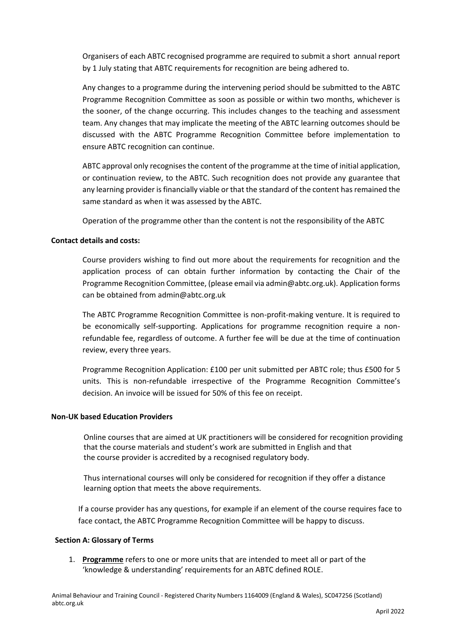Organisers of each ABTC recognised programme are required to submit a short annual report by 1 July stating that ABTC requirements for recognition are being adhered to.

Any changes to a programme during the intervening period should be submitted to the ABTC Programme Recognition Committee as soon as possible or within two months, whichever is the sooner, of the change occurring. This includes changes to the teaching and assessment team. Any changes that may implicate the meeting of the ABTC learning outcomes should be discussed with the ABTC Programme Recognition Committee before implementation to ensure ABTC recognition can continue.

ABTC approval only recognisesthe content of the programme at the time of initial application, or continuation review, to the ABTC. Such recognition does not provide any guarantee that any learning provider is financially viable or that the standard of the content has remained the same standard as when it was assessed by the ABTC.

Operation of the programme other than the content is not the responsibility of the ABTC

### **Contact details and costs:**

Course providers wishing to find out more about the requirements for recognition and the application process of can obtain further information by contacting the Chair of the Programme Recognition Committee, (please email via admin@abtc.org.uk). Application forms can be obtained from [admin@abtc.org.uk](mailto:admin@abtc.org.uk)

The ABTC Programme Recognition Committee is non-profit-making venture. It is required to be economically self-supporting. Applications for programme recognition require a nonrefundable fee, regardless of outcome. A further fee will be due at the time of continuation review, every three years.

Programme Recognition Application: £100 per unit submitted per ABTC role; thus £500 for 5 units. This is non-refundable irrespective of the Programme Recognition Committee's decision. An invoice will be issued for 50% of this fee on receipt.

#### **Non-UK based Education Providers**

Online courses that are aimed at UK practitioners will be considered for recognition providing that the course materials and student's work are submitted in English and that the course provider is accredited by a recognised regulatory body.

Thus international courses will only be considered for recognition if they offer a distance learning option that meets the above requirements.

If a course provider has any questions, for example if an element of the course requires face to face contact, the ABTC Programme Recognition Committee will be happy to discuss.

#### **Section A: Glossary of Terms**

1. **Programme** refers to one or more units that are intended to meet all or part of the 'knowledge & understanding' requirements for an ABTC defined ROLE.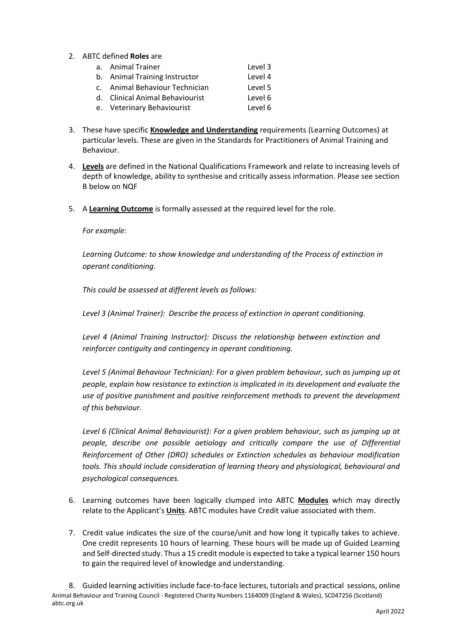- 2. ABTC defined **Roles** are
	- a. Animal Trainer Level 3 b. Animal Training Instructor Level 4 c. Animal Behaviour Technician Level 5
	- d. Clinical Animal Behaviourist Level 6
	- e. Veterinary Behaviourist Level 6
- 3. These have specific **Knowledge and Understanding** requirements (Learning Outcomes) at particular levels. These are given in the Standards for Practitioners of Animal Training and Behaviour.
- 4. **Levels** are defined in the National Qualifications Framework and relate to increasing levels of depth of knowledge, ability to synthesise and critically assess information. Please see section B below on NQF
- 5. A **Learning Outcome** is formally assessed at the required level for the role.

#### *For example:*

*Learning Outcome: to show knowledge and understanding of the Process of extinction in operant conditioning.*

*This could be assessed at different levels as follows:*

*Level 3 (Animal Trainer): Describe the process of extinction in operant conditioning.*

*Level 4 (Animal Training Instructor): Discuss the relationship between extinction and reinforcer contiguity and contingency in operant conditioning.*

*Level 5 (Animal Behaviour Technician): For a given problem behaviour, such as jumping up at people, explain how resistance to extinction is implicated in its development and evaluate the use of positive punishment and positive reinforcement methods to prevent the development of this behaviour.*

*Level 6 (Clinical Animal Behaviourist): For a given problem behaviour, such as jumping up at people, describe one possible aetiology and critically compare the use of Differential Reinforcement of Other (DRO) schedules or Extinction schedules as behaviour modification tools. This should include consideration of learning theory and physiological, behavioural and psychological consequences.*

- 6. Learning outcomes have been logically clumped into ABTC **Modules** which may directly relate to the Applicant's **Units**. ABTC modules have Credit value associated with them.
- 7. Credit value indicates the size of the course/unit and how long it typically takes to achieve. One credit represents 10 hours of learning. These hours will be made up of Guided Learning and Self-directed study. Thus a 15 credit module is expected to take a typical learner 150 hours to gain the required level of knowledge and understanding.

Animal Behaviour and Training Council - Registered Charity Numbers 1164009 (England & Wales), SC047256 (Scotland) abtc.org.uk 8. Guided learning activities include face-to-face lectures, tutorials and practical sessions, online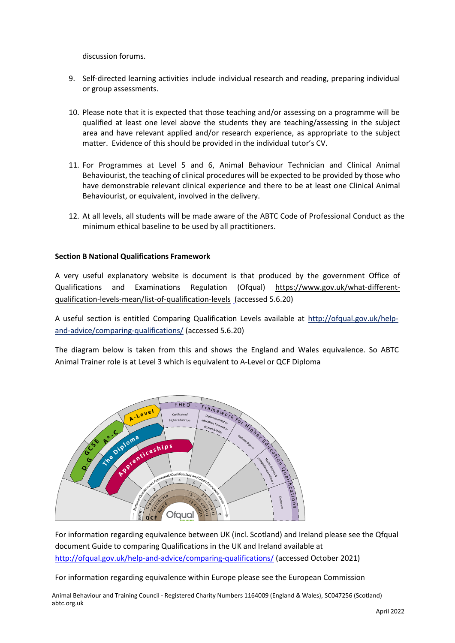discussion forums.

- 9. Self-directed learning activities include individual research and reading, preparing individual or group assessments.
- 10. Please note that it is expected that those teaching and/or assessing on a programme will be qualified at least one level above the students they are teaching/assessing in the subject area and have relevant applied and/or research experience, as appropriate to the subject matter. Evidence of this should be provided in the individual tutor's CV.
- 11. For Programmes at Level 5 and 6, Animal Behaviour Technician and Clinical Animal Behaviourist, the teaching of clinical procedures will be expected to be provided by those who have demonstrable relevant clinical experience and there to be at least one Clinical Animal Behaviourist, or equivalent, involved in the delivery.
- 12. At all levels, all students will be made aware of the ABTC Code of Professional Conduct as the minimum ethical baseline to be used by all practitioners.

### **Section B National Qualifications Framework**

A very useful explanatory website is document is that produced by the government Office of Qualifications and Examinations Regulation (Ofqual) [https://www.gov.uk/what-different](https://www.gov.uk/what-different-qualification-levels-mean/list-of-qualification-levels)[qualification-levels-mean/list-of-qualification-levels](https://www.gov.uk/what-different-qualification-levels-mean/list-of-qualification-levels) (accessed 5.6.20)

A useful section is entitled Comparing Qualification Levels available at [http://ofqual.gov.uk/help](http://ofqual.gov.uk/help-and-advice/comparing-qualifications/)[and-advice/comparing-qualifications/](http://ofqual.gov.uk/help-and-advice/comparing-qualifications/) (accessed 5.6.20)

The diagram below is taken from this and shows the England and Wales equivalence. So ABTC Animal Trainer role is at Level 3 which is equivalent to A-Level or QCF Diploma



For information regarding equivalence between UK (incl. Scotland) and Ireland please see the Qfqual document Guide to comparing Qualifications in the UK and Ireland available at <http://ofqual.gov.uk/help-and-advice/comparing-qualifications/> (accessed October 2021)

For information regarding equivalence within Europe please see the European Commission

Animal Behaviour and Training Council - Registered Charity Numbers 1164009 (England & Wales), SC047256 (Scotland) abtc.org.uk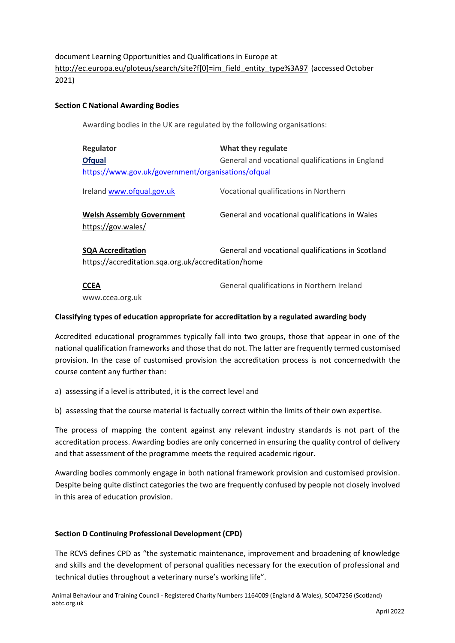document Learning Opportunities and Qualifications in Europe at [http://ec.europa.eu/ploteus/search/site?f\[0\]=im\\_field\\_entity\\_type%3A97](http://ec.europa.eu/ploteus/search/site?f%5b0%5d=im_field_entity_type%3A97) (accessed October 2021)

## **Section C National Awarding Bodies**

Awarding bodies in the UK are regulated by the following organisations:

| Regulator<br><b>Ofqual</b><br>https://www.gov.uk/government/organisations/ofqual                                                     | What they regulate<br>General and vocational qualifications in England |
|--------------------------------------------------------------------------------------------------------------------------------------|------------------------------------------------------------------------|
| Ireland www.ofqual.gov.uk                                                                                                            | Vocational qualifications in Northern                                  |
| <b>Welsh Assembly Government</b><br>https://gov.wales/                                                                               | General and vocational qualifications in Wales                         |
| <b>SQA Accreditation</b><br>General and vocational qualifications in Scotland<br>https://accreditation.sqa.org.uk/accreditation/home |                                                                        |
| <b>CCEA</b>                                                                                                                          | General qualifications in Northern Ireland                             |

[www.ccea.org.uk](http://www.ccea.org.uk/)

### **Classifying types of education appropriate for accreditation by a regulated awarding body**

Accredited educational programmes typically fall into two groups, those that appear in one of the national qualification frameworks and those that do not. The latter are frequently termed customised provision. In the case of customised provision the accreditation process is not concernedwith the course content any further than:

a) assessing if a level is attributed, it is the correct level and

b) assessing that the course material is factually correct within the limits of their own expertise.

The process of mapping the content against any relevant industry standards is not part of the accreditation process. Awarding bodies are only concerned in ensuring the quality control of delivery and that assessment of the programme meets the required academic rigour.

Awarding bodies commonly engage in both national framework provision and customised provision. Despite being quite distinct categories the two are frequently confused by people not closely involved in this area of education provision.

# **Section D Continuing Professional Development (CPD)**

The RCVS defines CPD as "the systematic maintenance, improvement and broadening of knowledge and skills and the development of personal qualities necessary for the execution of professional and technical duties throughout a veterinary nurse's working life".